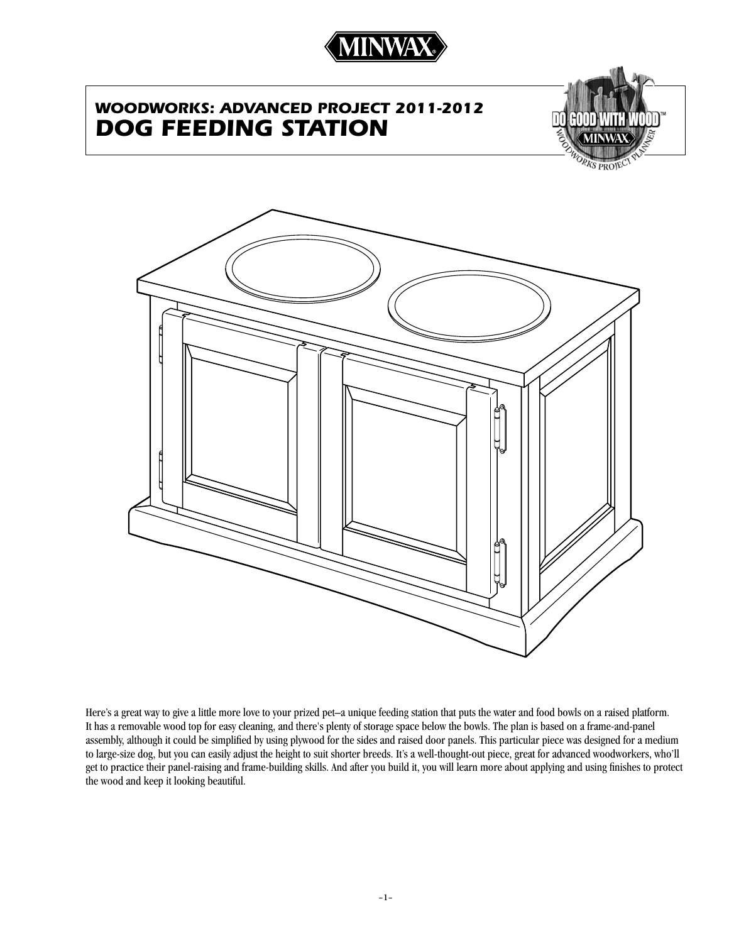

# *WOODWORKS: Advanced project 2011-2012 dog feeding station*



**RKS PROJI** 



Here's a great way to give a little more love to your prized pet–a unique feeding station that puts the water and food bowls on a raised platform. It has a removable wood top for easy cleaning, and there's plenty of storage space below the bowls. The plan is based on a frame-and-panel assembly, although it could be simplified by using plywood for the sides and raised door panels. This particular piece was designed for a medium to large-size dog, but you can easily adjust the height to suit shorter breeds. It's a well-thought-out piece, great for advanced woodworkers, who'll get to practice their panel-raising and frame-building skills. And after you build it, you will learn more about applying and using finishes to protect the wood and keep it looking beautiful.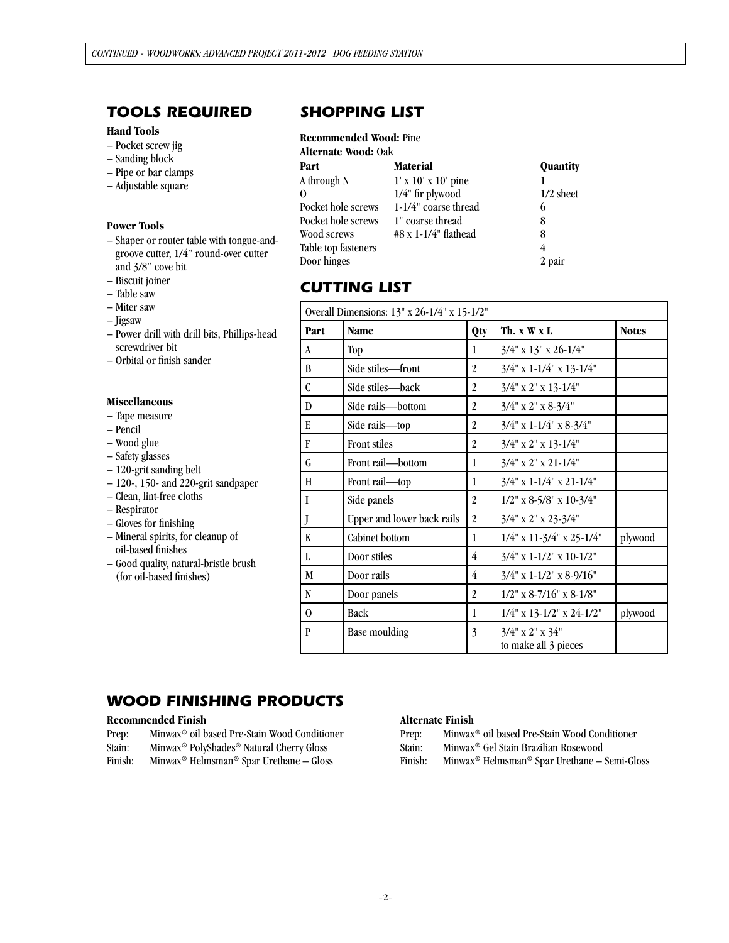## *tools required*

#### **Hand Tools**

- Pocket screw jig
- Sanding block
- Pipe or bar clamps
- Adjustable square

#### **Power Tools**

- Shaper or router table with tongue-andgroove cutter, 1/4" round-over cutter and 3/8" cove bit
- Biscuit joiner
- Table saw
- Miter saw
- Jigsaw
- Power drill with drill bits, Phillips-head screwdriver bit
- Orbital or finish sander

#### **Miscellaneous**

- Tape measure
- Pencil
- Wood glue
- Safety glasses
- 120-grit sanding belt
- 120-, 150- and 220-grit sandpaper
- Clean, lint-free cloths
- Respirator
- Gloves for finishing
- Mineral spirits, for cleanup of oil-based finishes
- Good quality, natural-bristle brush (for oil-based finishes)

## *SHOPPING LIST*

| <b>Recommended Wood: Pine</b> |  |
|-------------------------------|--|
|-------------------------------|--|

| <b>Alternate Wood: Oak</b> |                                 |             |  |  |  |  |
|----------------------------|---------------------------------|-------------|--|--|--|--|
| Part                       | <b>Material</b>                 | Quantity    |  |  |  |  |
| A through N                | $1' \times 10' \times 10'$ pine |             |  |  |  |  |
| $\Omega$                   | $1/4$ " fir plywood             | $1/2$ sheet |  |  |  |  |
| Pocket hole screws         | 1-1/4" coarse thread            | 6           |  |  |  |  |
| Pocket hole screws         | 1" coarse thread                | 8           |  |  |  |  |
| Wood screws                | #8 x 1-1/4" flathead            | 8           |  |  |  |  |
| Table top fasteners        |                                 | 4           |  |  |  |  |
| Door hinges                |                                 | 2 pair      |  |  |  |  |

## *cutting list*

| Overall Dimensions: 13" x 26-1/4" x 15-1/2" |                            |                |                                            |              |  |  |
|---------------------------------------------|----------------------------|----------------|--------------------------------------------|--------------|--|--|
| Part                                        | <b>Name</b>                | Qty            | Th. $x \mathbf{W} x L$                     | <b>Notes</b> |  |  |
| A                                           | Top                        | 1              | $3/4$ " x $13$ " x $26 - 1/4$ "            |              |  |  |
| B                                           | Side stiles—front          | 2              | $3/4$ " x 1-1/4" x 13-1/4"                 |              |  |  |
| $\mathbf C$                                 | Side stiles-back           | 2              | $3/4$ " x 2" x 13-1/4"                     |              |  |  |
| D                                           | Side rails—bottom          | 2              | $3/4$ " x 2" x 8-3/4"                      |              |  |  |
| E                                           | Side rails—top             | 2              | $3/4$ " x 1-1/4" x 8-3/4"                  |              |  |  |
| F                                           | Front stiles               | 2              | $3/4$ " x 2" x 13-1/4"                     |              |  |  |
| G                                           | Front rail-bottom          | 1              | $3/4$ " x 2" x 21-1/4"                     |              |  |  |
| H                                           | Front rail-top             | 1              | $3/4$ " x 1-1/4" x 21-1/4"                 |              |  |  |
| $\mathbf I$                                 | Side panels                | 2              | $1/2$ " x 8-5/8" x 10-3/4"                 |              |  |  |
| $\mathbf{J}$                                | Upper and lower back rails | $\overline{2}$ | $3/4$ " x 2" x 23-3/4"                     |              |  |  |
| K                                           | Cabinet bottom             | 1              | $1/4$ " x $11-3/4$ " x $25-1/4$ "          | plywood      |  |  |
| L                                           | Door stiles                | 4              | $3/4$ " x 1-1/2" x 10-1/2"                 |              |  |  |
| M                                           | Door rails                 | 4              | $3/4$ " x 1-1/2" x 8-9/16"                 |              |  |  |
| N                                           | Door panels                | 2              | $1/2$ " x 8-7/16" x 8-1/8"                 |              |  |  |
| $\mathbf 0$                                 | <b>Back</b>                | 1              | $1/4$ " x $13-1/2$ " x $24-1/2$ "          | plywood      |  |  |
| P                                           | Base moulding              | 3              | $3/4$ " x 2" x 34"<br>to make all 3 pieces |              |  |  |

## *WOOD FINISHING PRODUCTS*

#### **Recommended Finish**

Prep: Minwax® oil based Pre-Stain Wood Conditioner<br>Stain: Minwax® PolyShades® Natural Cherry Gloss Minwax<sup>®</sup> PolyShades® Natural Cherry Gloss Finish: Minwax® Helmsman® Spar Urethane – Gloss

#### **Alternate Finish**

Prep: Minwax® oil based Pre-Stain Wood Conditioner

Stain: Minwax® Gel Stain Brazilian Rosewood

Finish: Minwax® Helmsman® Spar Urethane – Semi-Gloss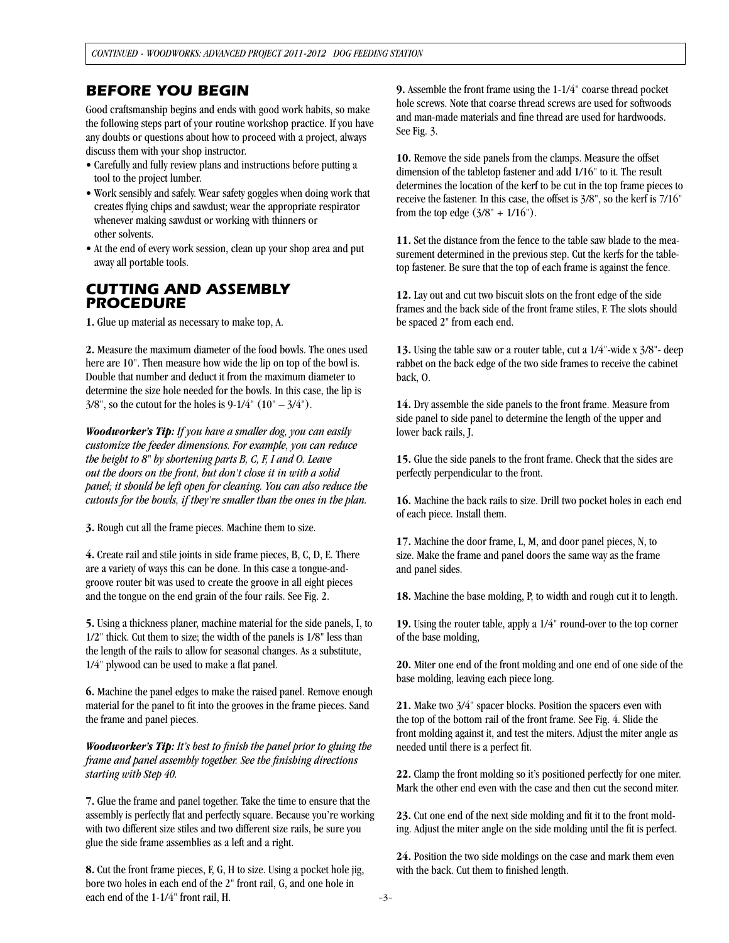## *Before you begin*

Good craftsmanship begins and ends with good work habits, so make the following steps part of your routine workshop practice. If you have any doubts or questions about how to proceed with a project, always discuss them with your shop instructor.

- Carefully and fully review plans and instructions before putting a tool to the project lumber.
- Work sensibly and safely. Wear safety goggles when doing work that creates flying chips and sawdust; wear the appropriate respirator whenever making sawdust or working with thinners or other solvents.
- At the end of every work session, clean up your shop area and put away all portable tools.

### *CUTTING AND ASSEMBLY PROCEDURE*

**1.** Glue up material as necessary to make top, A.

**2.** Measure the maximum diameter of the food bowls. The ones used here are 10". Then measure how wide the lip on top of the bowl is. Double that number and deduct it from the maximum diameter to determine the size hole needed for the bowls. In this case, the lip is  $3/8$ ", so the cutout for the holes is  $9-1/4$ "  $(10" - 3/4")$ .

*Woodworker's Tip: If you have a smaller dog, you can easily customize the feeder dimensions. For example, you can reduce the height to 8" by shortening parts B, C, F, I and O. Leave out the doors on the front, but don't close it in with a solid panel; it should be left open for cleaning. You can also reduce the cutouts for the bowls, if they're smaller than the ones in the plan.*

**3.** Rough cut all the frame pieces. Machine them to size.

**4.** Create rail and stile joints in side frame pieces, B, C, D, E. There are a variety of ways this can be done. In this case a tongue-andgroove router bit was used to create the groove in all eight pieces and the tongue on the end grain of the four rails. See Fig. 2.

**5.** Using a thickness planer, machine material for the side panels, I, to 1/2" thick. Cut them to size; the width of the panels is 1/8" less than the length of the rails to allow for seasonal changes. As a substitute, 1/4" plywood can be used to make a flat panel.

**6.** Machine the panel edges to make the raised panel. Remove enough material for the panel to fit into the grooves in the frame pieces. Sand the frame and panel pieces.

*Woodworker's Tip: It's best to finish the panel prior to gluing the frame and panel assembly together. See the finishing directions starting with Step 40.*

**7.** Glue the frame and panel together. Take the time to ensure that the assembly is perfectly flat and perfectly square. Because you're working with two different size stiles and two different size rails, be sure you glue the side frame assemblies as a left and a right.

**8.** Cut the front frame pieces, F, G, H to size. Using a pocket hole jig, bore two holes in each end of the 2" front rail, G, and one hole in each end of the 1-1/4" front rail, H.

**9.** Assemble the front frame using the 1-1/4" coarse thread pocket hole screws. Note that coarse thread screws are used for softwoods and man-made materials and fine thread are used for hardwoods. See Fig. 3.

**10.** Remove the side panels from the clamps. Measure the offset dimension of the tabletop fastener and add 1/16" to it. The result determines the location of the kerf to be cut in the top frame pieces to receive the fastener. In this case, the offset is 3/8", so the kerf is 7/16" from the top edge  $(3/8" + 1/16")$ .

**11.** Set the distance from the fence to the table saw blade to the measurement determined in the previous step. Cut the kerfs for the tabletop fastener. Be sure that the top of each frame is against the fence.

**12.** Lay out and cut two biscuit slots on the front edge of the side frames and the back side of the front frame stiles, F. The slots should be spaced 2" from each end.

**13.** Using the table saw or a router table, cut a 1/4"-wide x 3/8"- deep rabbet on the back edge of the two side frames to receive the cabinet back, O.

**14.** Dry assemble the side panels to the front frame. Measure from side panel to side panel to determine the length of the upper and lower back rails, J.

**15.** Glue the side panels to the front frame. Check that the sides are perfectly perpendicular to the front.

**16.** Machine the back rails to size. Drill two pocket holes in each end of each piece. Install them.

**17.** Machine the door frame, L, M, and door panel pieces, N, to size. Make the frame and panel doors the same way as the frame and panel sides.

**18.** Machine the base molding, P, to width and rough cut it to length.

**19.** Using the router table, apply a 1/4" round-over to the top corner of the base molding,

**20.** Miter one end of the front molding and one end of one side of the base molding, leaving each piece long.

**21.** Make two 3/4" spacer blocks. Position the spacers even with the top of the bottom rail of the front frame. See Fig. 4. Slide the front molding against it, and test the miters. Adjust the miter angle as needed until there is a perfect fit.

**22.** Clamp the front molding so it's positioned perfectly for one miter. Mark the other end even with the case and then cut the second miter.

**23.** Cut one end of the next side molding and fit it to the front molding. Adjust the miter angle on the side molding until the fit is perfect.

**24.** Position the two side moldings on the case and mark them even with the back. Cut them to finished length.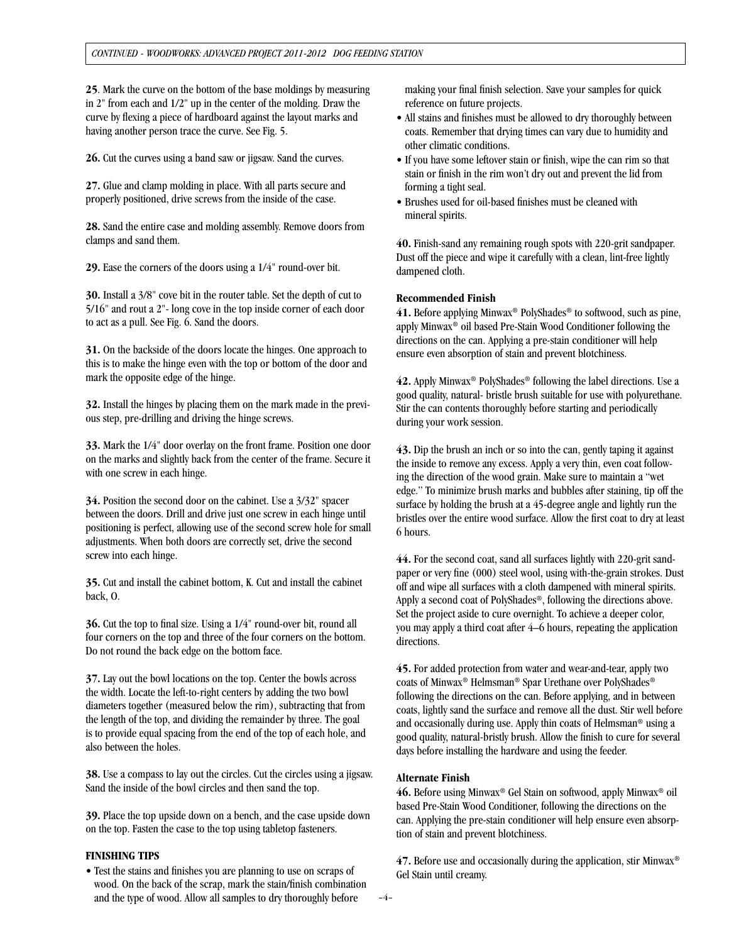**25**. Mark the curve on the bottom of the base moldings by measuring in 2" from each and 1/2" up in the center of the molding. Draw the curve by flexing a piece of hardboard against the layout marks and having another person trace the curve. See Fig. 5.

**26.** Cut the curves using a band saw or jigsaw. Sand the curves.

**27.** Glue and clamp molding in place. With all parts secure and properly positioned, drive screws from the inside of the case.

**28.** Sand the entire case and molding assembly. Remove doors from clamps and sand them.

**29.** Ease the corners of the doors using a 1/4" round-over bit.

**30.** Install a 3/8" cove bit in the router table. Set the depth of cut to 5/16" and rout a 2"- long cove in the top inside corner of each door to act as a pull. See Fig. 6. Sand the doors.

**31.** On the backside of the doors locate the hinges. One approach to this is to make the hinge even with the top or bottom of the door and mark the opposite edge of the hinge.

**32.** Install the hinges by placing them on the mark made in the previous step, pre-drilling and driving the hinge screws.

**33.** Mark the 1/4" door overlay on the front frame. Position one door on the marks and slightly back from the center of the frame. Secure it with one screw in each hinge.

**34.** Position the second door on the cabinet. Use a 3/32" spacer between the doors. Drill and drive just one screw in each hinge until positioning is perfect, allowing use of the second screw hole for small adjustments. When both doors are correctly set, drive the second screw into each hinge.

**35.** Cut and install the cabinet bottom, K. Cut and install the cabinet back, O.

**36.** Cut the top to final size. Using a 1/4" round-over bit, round all four corners on the top and three of the four corners on the bottom. Do not round the back edge on the bottom face.

**37.** Lay out the bowl locations on the top. Center the bowls across the width. Locate the left-to-right centers by adding the two bowl diameters together (measured below the rim), subtracting that from the length of the top, and dividing the remainder by three. The goal is to provide equal spacing from the end of the top of each hole, and also between the holes.

**38.** Use a compass to lay out the circles. Cut the circles using a jigsaw. Sand the inside of the bowl circles and then sand the top.

**39.** Place the top upside down on a bench, and the case upside down on the top. Fasten the case to the top using tabletop fasteners.

#### **FINISHING TIPS**

• Test the stains and finishes you are planning to use on scraps of wood. On the back of the scrap, mark the stain/finish combination and the type of wood. Allow all samples to dry thoroughly before

making your final finish selection. Save your samples for quick reference on future projects.

- All stains and finishes must be allowed to dry thoroughly between coats. Remember that drying times can vary due to humidity and other climatic conditions.
- If you have some leftover stain or finish, wipe the can rim so that stain or finish in the rim won't dry out and prevent the lid from forming a tight seal.
- Brushes used for oil-based finishes must be cleaned with mineral spirits.

**40.** Finish-sand any remaining rough spots with 220-grit sandpaper. Dust off the piece and wipe it carefully with a clean, lint-free lightly dampened cloth.

#### **Recommended Finish**

**41.** Before applying Minwax® PolyShades® to softwood, such as pine, apply Minwax® oil based Pre-Stain Wood Conditioner following the directions on the can. Applying a pre-stain conditioner will help ensure even absorption of stain and prevent blotchiness.

**42.** Apply Minwax® PolyShades® following the label directions. Use a good quality, natural- bristle brush suitable for use with polyurethane. Stir the can contents thoroughly before starting and periodically during your work session.

**43.** Dip the brush an inch or so into the can, gently taping it against the inside to remove any excess. Apply a very thin, even coat following the direction of the wood grain. Make sure to maintain a "wet edge." To minimize brush marks and bubbles after staining, tip off the surface by holding the brush at a 45-degree angle and lightly run the bristles over the entire wood surface. Allow the first coat to dry at least 6 hours.

**44.** For the second coat, sand all surfaces lightly with 220-grit sandpaper or very fine (000) steel wool, using with-the-grain strokes. Dust off and wipe all surfaces with a cloth dampened with mineral spirits. Apply a second coat of PolyShades®, following the directions above. Set the project aside to cure overnight. To achieve a deeper color, you may apply a third coat after 4–6 hours, repeating the application directions.

**45.** For added protection from water and wear-and-tear, apply two coats of Minwax® Helmsman® Spar Urethane over PolyShades® following the directions on the can. Before applying, and in between coats, lightly sand the surface and remove all the dust. Stir well before and occasionally during use. Apply thin coats of Helmsman® using a good quality, natural-bristly brush. Allow the finish to cure for several days before installing the hardware and using the feeder.

#### **Alternate Finish**

**46.** Before using Minwax® Gel Stain on softwood, apply Minwax® oil based Pre-Stain Wood Conditioner, following the directions on the can. Applying the pre-stain conditioner will help ensure even absorption of stain and prevent blotchiness.

**47.** Before use and occasionally during the application, stir Minwax® Gel Stain until creamy.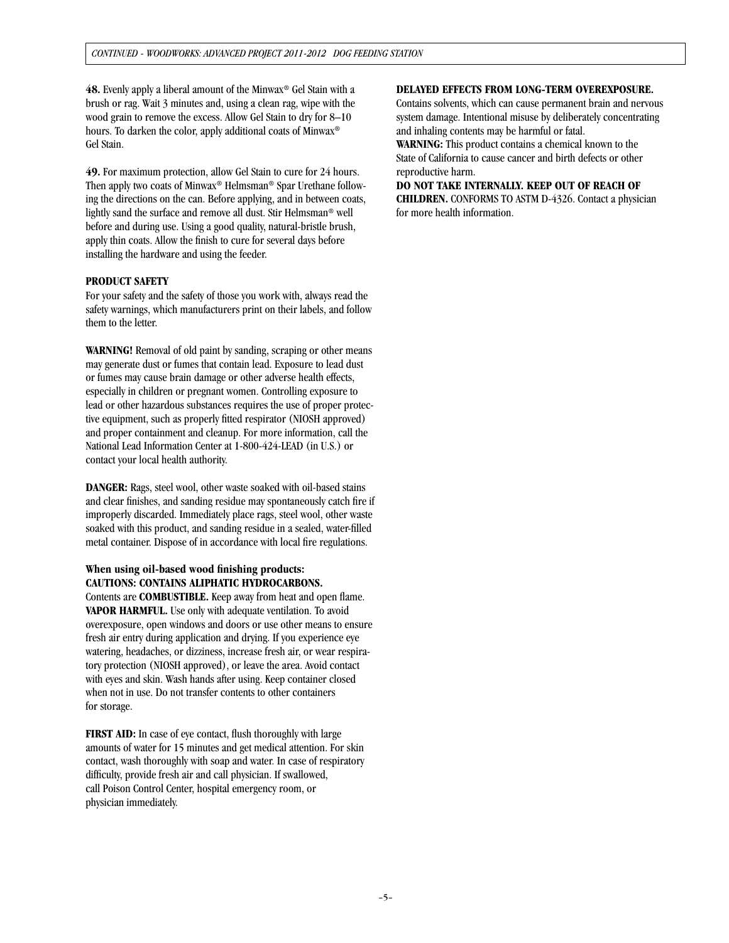**48.** Evenly apply a liberal amount of the Minwax® Gel Stain with a brush or rag. Wait 3 minutes and, using a clean rag, wipe with the wood grain to remove the excess. Allow Gel Stain to dry for 8–10 hours. To darken the color, apply additional coats of Minwax® Gel Stain.

**49.** For maximum protection, allow Gel Stain to cure for 24 hours. Then apply two coats of Minwax® Helmsman® Spar Urethane following the directions on the can. Before applying, and in between coats, lightly sand the surface and remove all dust. Stir Helmsman® well before and during use. Using a good quality, natural-bristle brush, apply thin coats. Allow the finish to cure for several days before installing the hardware and using the feeder.

#### **PRODUCT SAFETY**

For your safety and the safety of those you work with, always read the safety warnings, which manufacturers print on their labels, and follow them to the letter.

**WARNING!** Removal of old paint by sanding, scraping or other means may generate dust or fumes that contain lead. Exposure to lead dust or fumes may cause brain damage or other adverse health effects, especially in children or pregnant women. Controlling exposure to lead or other hazardous substances requires the use of proper protective equipment, such as properly fitted respirator (NIOSH approved) and proper containment and cleanup. For more information, call the National Lead Information Center at 1-800-424-LEAD (in U.S.) or contact your local health authority.

**DANGER:** Rags, steel wool, other waste soaked with oil-based stains and clear finishes, and sanding residue may spontaneously catch fire if improperly discarded. Immediately place rags, steel wool, other waste soaked with this product, and sanding residue in a sealed, water-filled metal container. Dispose of in accordance with local fire regulations.

#### **When using oil-based wood finishing products: CAUTIONS: CONTAINS ALIPHATIC HYDROCARBONS.**

Contents are **COMBUSTIBLE.** Keep away from heat and open flame. **VAPOR HARMFUL.** Use only with adequate ventilation. To avoid overexposure, open windows and doors or use other means to ensure fresh air entry during application and drying. If you experience eye watering, headaches, or dizziness, increase fresh air, or wear respiratory protection (NIOSH approved), or leave the area. Avoid contact with eyes and skin. Wash hands after using. Keep container closed when not in use. Do not transfer contents to other containers for storage.

**FIRST AID:** In case of eye contact, flush thoroughly with large amounts of water for 15 minutes and get medical attention. For skin contact, wash thoroughly with soap and water. In case of respiratory difficulty, provide fresh air and call physician. If swallowed, call Poison Control Center, hospital emergency room, or physician immediately.

#### **DELAYED EFFECTS FROM LONG-TERM OVEREXPOSURE.**

Contains solvents, which can cause permanent brain and nervous system damage. Intentional misuse by deliberately concentrating and inhaling contents may be harmful or fatal.

**WARNING:** This product contains a chemical known to the State of California to cause cancer and birth defects or other reproductive harm.

**DO NOT TAKE INTERNALLY. KEEP OUT OF REACH OF CHILDREN.** CONFORMS TO ASTM D-4326. Contact a physician for more health information.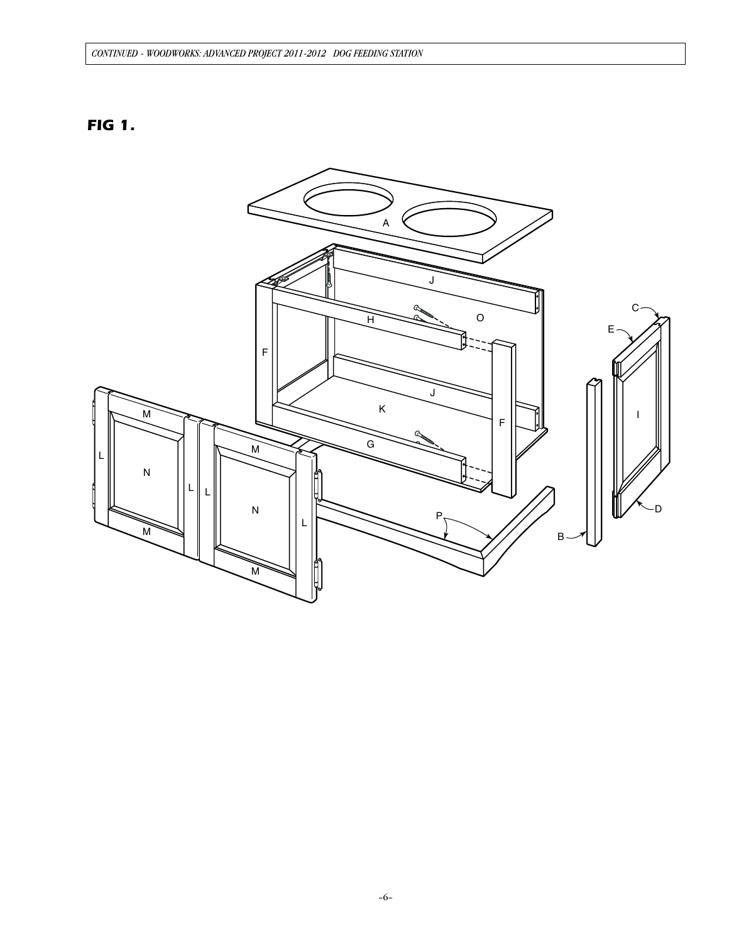### *CONTINUED - WOODWORKS: advanced project 2011-2012 dog feeding station*

## *FIG 1.*

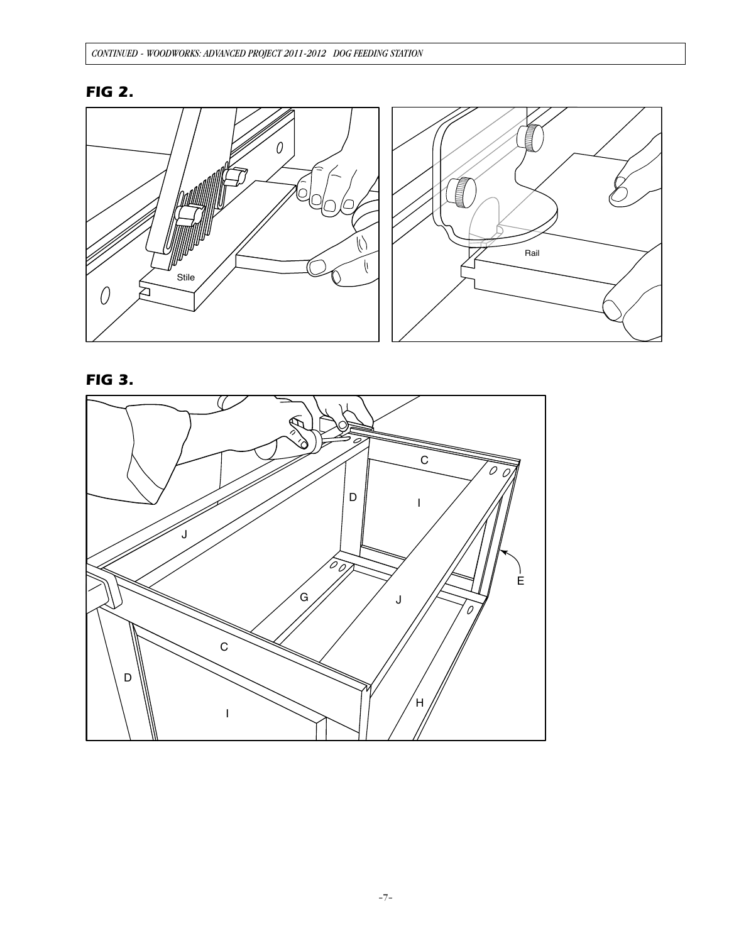## **FIG 2.**





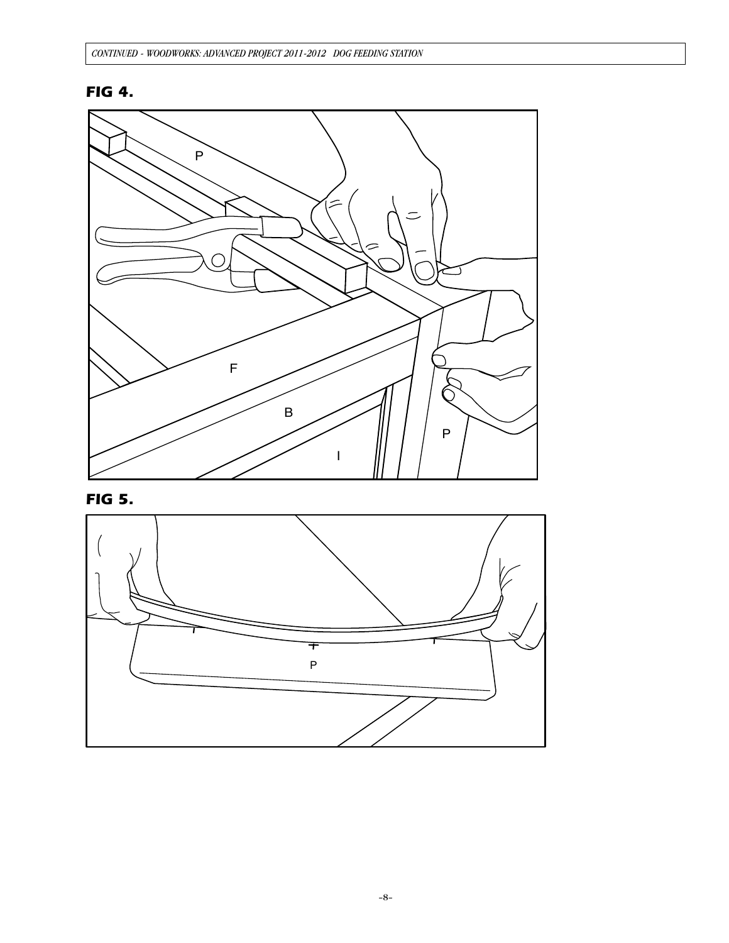## **FIG 4.**



# **FIG 5.**